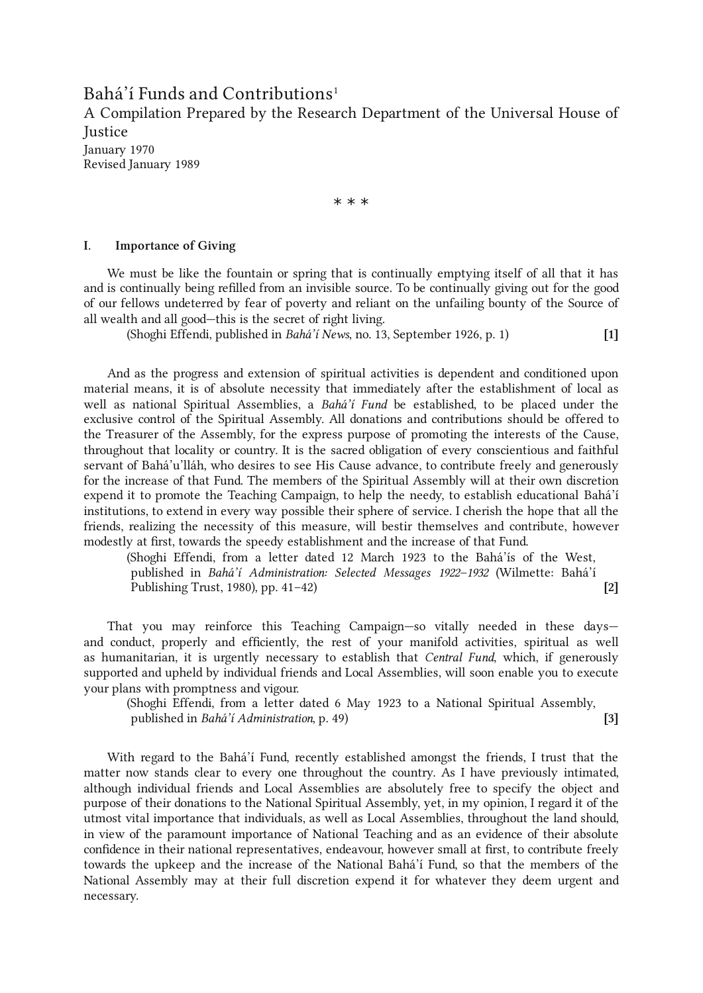<span id="page-0-0"></span>Bahá'í Funds and Contributions [1](#page-13-0)

A Compilation Prepared by the Research Department of the Universal House of **Iustice** 

January 1970 Revised January 1989

\* \* \*

## I. Importance of Giving

We must be like the fountain or spring that is continually emptying itself of all that it has and is continually being refilled from an invisible source. To be continually giving out for the good of our fellows undeterred by fear of poverty and reliant on the unfailing bounty of the Source of all wealth and all good—this is the secret of right living.

(Shoghi Effendi, published in Bahá'í News, no. 13, September 1926, p. 1) [1]

And as the progress and extension of spiritual activities is dependent and conditioned upon material means, it is of absolute necessity that immediately after the establishment of local as well as national Spiritual Assemblies, a Bahá'í Fund be established, to be placed under the exclusive control of the Spiritual Assembly. All donations and contributions should be offered to the Treasurer of the Assembly, for the express purpose of promoting the interests of the Cause, throughout that locality or country. It is the sacred obligation of every conscientious and faithful servant of Bahá'u'lláh, who desires to see His Cause advance, to contribute freely and generously for the increase of that Fund. The members of the Spiritual Assembly will at their own discretion expend it to promote the Teaching Campaign, to help the needy, to establish educational Bahá'í institutions, to extend in every way possible their sphere of service. I cherish the hope that all the friends, realizing the necessity of this measure, will bestir themselves and contribute, however modestly at first, towards the speedy establishment and the increase of that Fund.

(Shoghi Effendi, from a letter dated 12 March 1923 to the Bahá'ís of the West, published in Bahá'í Administration: Selected Messages 1922–1932 (Wilmette: Bahá'í Publishing Trust, 1980), pp. 41–42) [2]

That you may reinforce this Teaching Campaign—so vitally needed in these days and conduct, properly and efficiently, the rest of your manifold activities, spiritual as well as humanitarian, it is urgently necessary to establish that Central Fund, which, if generously supported and upheld by individual friends and Local Assemblies, will soon enable you to execute your plans with promptness and vigour.

(Shoghi Effendi, from a letter dated 6 May 1923 to a National Spiritual Assembly, published in *Bahá'í Administration*, p. 49) [3]

With regard to the Bahá'í Fund, recently established amongst the friends, I trust that the matter now stands clear to every one throughout the country. As I have previously intimated, although individual friends and Local Assemblies are absolutely free to specify the object and purpose of their donations to the National Spiritual Assembly, yet, in my opinion, I regard it of the utmost vital importance that individuals, as well as Local Assemblies, throughout the land should, in view of the paramount importance of National Teaching and as an evidence of their absolute confidence in their national representatives, endeavour, however small at first, to contribute freely towards the upkeep and the increase of the National Bahá'í Fund, so that the members of the National Assembly may at their full discretion expend it for whatever they deem urgent and necessary.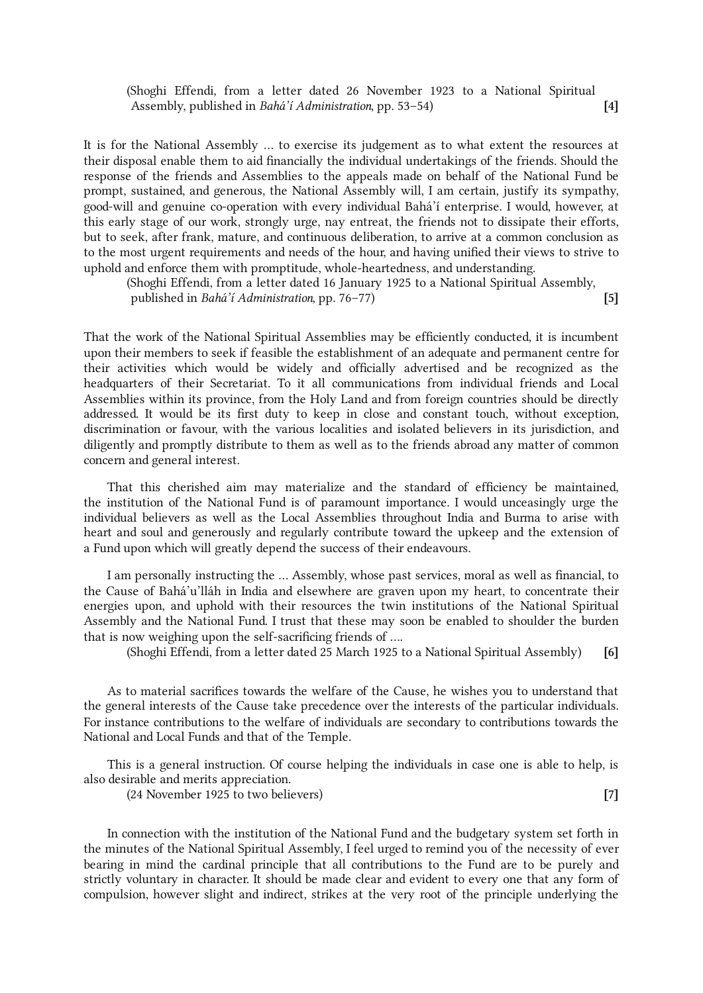(Shoghi Effendi, from a letter dated 26 November 1923 to a National Spiritual Assembly, published in Bahá'í Administration, pp. 53–54) [4]

It is for the National Assembly ... to exercise its judgement as to what extent the resources at their disposal enable them to aid financially the individual undertakings of the friends. Should the response of the friends and Assemblies to the appeals made on behalf of the National Fund be prompt, sustained, and generous, the National Assembly will, I am certain, justify its sympathy, good-will and genuine co-operation with every individual Bahá'í enterprise. I would, however, at this early stage of our work, strongly urge, nay entreat, the friends not to dissipate their efforts, but to seek, after frank, mature, and continuous deliberation, to arrive at a common conclusion as to the most urgent requirements and needs of the hour, and having unified their views to strive to uphold and enforce them with promptitude, whole-heartedness, and understanding.

(Shoghi Effendi, from a letter dated 16 January 1925 to a National Spiritual Assembly, published in *Bahá'í Administration*, pp. 76–77) [5]

That the work of the National Spiritual Assemblies may be efficiently conducted, it is incumbent upon their members to seek if feasible the establishment of an adequate and permanent centre for their activities which would be widely and officially advertised and be recognized as the headquarters of their Secretariat. To it all communications from individual friends and Local Assemblies within its province, from the Holy Land and from foreign countries should be directly addressed. It would be its first duty to keep in close and constant touch, without exception, discrimination or favour, with the various localities and isolated believers in its jurisdiction, and diligently and promptly distribute to them as well as to the friends abroad any matter of common concern and general interest.

That this cherished aim may materialize and the standard of efficiency be maintained, the institution of the National Fund is of paramount importance. I would unceasingly urge the individual believers as well as the Local Assemblies throughout India and Burma to arise with heart and soul and generously and regularly contribute toward the upkeep and the extension of a Fund upon which will greatly depend the success of their endeavours.

I am personally instructing the ... Assembly, whose past services, moral as well as financial, to the Cause of Bahá'u'lláh in India and elsewhere are graven upon my heart, to concentrate their energies upon, and uphold with their resources the twin institutions of the National Spiritual Assembly and the National Fund. I trust that these may soon be enabled to shoulder the burden that is now weighing upon the self-sacrificing friends of ....

(Shoghi Effendi, from a letter dated 25 March 1925 to a National Spiritual Assembly) [6]

As to material sacrifices towards the welfare of the Cause, he wishes you to understand that the general interests of the Cause take precedence over the interests of the particular individuals. For instance contributions to the welfare of individuals are secondary to contributions towards the National and Local Funds and that of the Temple.

This is a general instruction. Of course helping the individuals in case one is able to help, is also desirable and merits appreciation.

(24 November 1925 to two believers) [7]

In connection with the institution of the National Fund and the budgetary system set forth in the minutes of the National Spiritual Assembly, I feel urged to remind you of the necessity of ever bearing in mind the cardinal principle that all contributions to the Fund are to be purely and strictly voluntary in character. It should be made clear and evident to every one that any form of compulsion, however slight and indirect, strikes at the very root of the principle underlying the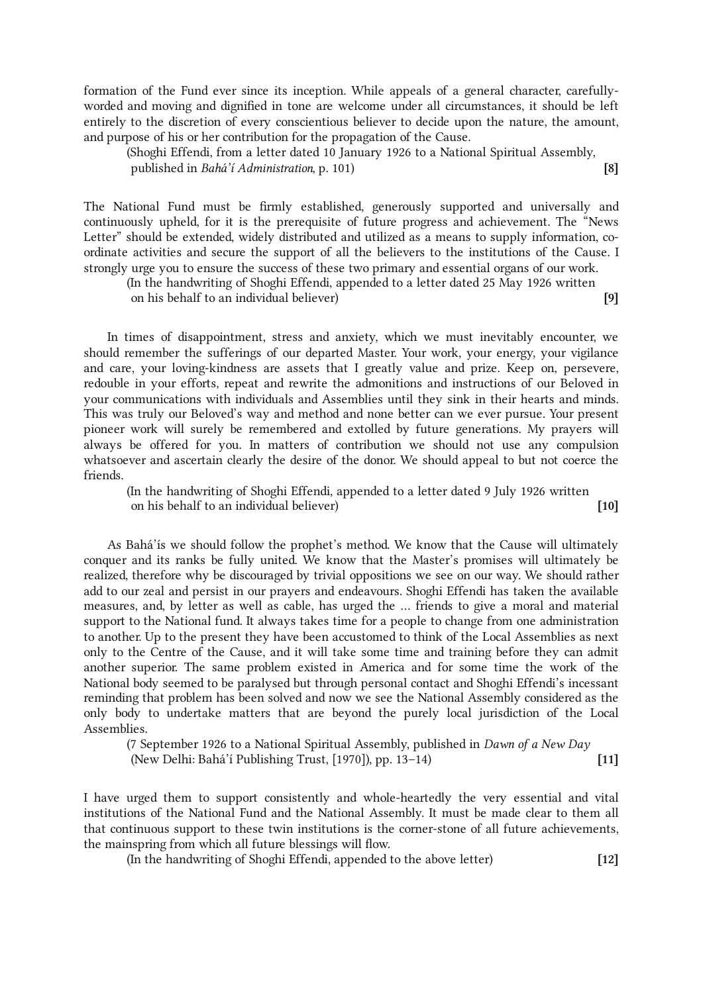formation of the Fund ever since its inception. While appeals of a general character, carefullyworded and moving and dignified in tone are welcome under all circumstances, it should be left entirely to the discretion of every conscientious believer to decide upon the nature, the amount, and purpose of his or her contribution for the propagation of the Cause.

(Shoghi Effendi, from a letter dated 10 January 1926 to a National Spiritual Assembly, published in *Bahá'í Administration*, p. 101) [8]

The National Fund must be firmly established, generously supported and universally and continuously upheld, for it is the prerequisite of future progress and achievement. The "News Letter" should be extended, widely distributed and utilized as a means to supply information, coordinate activities and secure the support of all the believers to the institutions of the Cause. I strongly urge you to ensure the success of these two primary and essential organs of our work.

(In the handwriting of Shoghi Effendi, appended to a letter dated 25 May 1926 written on his behalf to an individual believer) [9]

In times of disappointment, stress and anxiety, which we must inevitably encounter, we should remember the sufferings of our departed Master. Your work, your energy, your vigilance and care, your loving-kindness are assets that I greatly value and prize. Keep on, persevere, redouble in your efforts, repeat and rewrite the admonitions and instructions of our Beloved in your communications with individuals and Assemblies until they sink in their hearts and minds. This was truly our Beloved's way and method and none better can we ever pursue. Your present pioneer work will surely be remembered and extolled by future generations. My prayers will always be offered for you. In matters of contribution we should not use any compulsion whatsoever and ascertain clearly the desire of the donor. We should appeal to but not coerce the friends.

(In the handwriting of Shoghi Effendi, appended to a letter dated 9 July 1926 written on his behalf to an individual believer) [10]

As Bahá'ís we should follow the prophet's method. We know that the Cause will ultimately conquer and its ranks be fully united. We know that the Master's promises will ultimately be realized, therefore why be discouraged by trivial oppositions we see on our way. We should rather add to our zeal and persist in our prayers and endeavours. Shoghi Effendi has taken the available measures, and, by letter as well as cable, has urged the ... friends to give a moral and material support to the National fund. It always takes time for a people to change from one administration to another. Up to the present they have been accustomed to think of the Local Assemblies as next only to the Centre of the Cause, and it will take some time and training before they can admit another superior. The same problem existed in America and for some time the work of the National body seemed to be paralysed but through personal contact and Shoghi Effendi's incessant reminding that problem has been solved and now we see the National Assembly considered as the only body to undertake matters that are beyond the purely local jurisdiction of the Local Assemblies.

(7 September 1926 to a National Spiritual Assembly, published in Dawn of a New Day (New Delhi: Bahá'í Publishing Trust, [1970]), pp. 13–14) [11]

I have urged them to support consistently and whole-heartedly the very essential and vital institutions of the National Fund and the National Assembly. It must be made clear to them all that continuous support to these twin institutions is the corner-stone of all future achievements, the mainspring from which all future blessings will flow.

(In the handwriting of Shoghi Effendi, appended to the above letter) [12]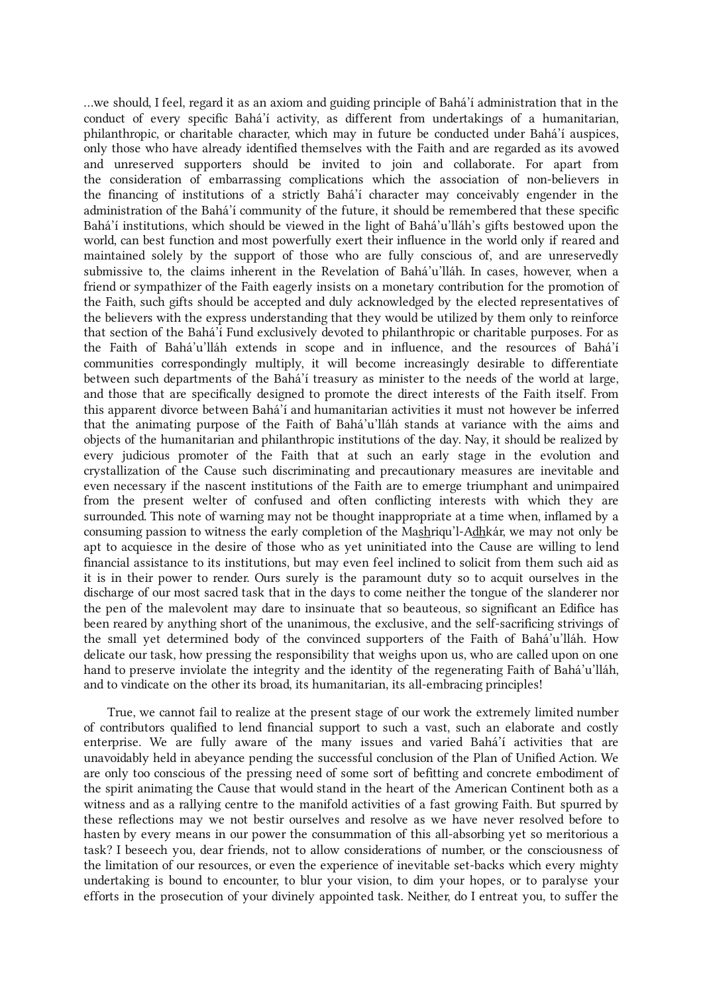...we should, I feel, regard it as an axiom and guiding principle of Bahá'í administration that in the conduct of every specific Bahá'í activity, as different from undertakings of a humanitarian, philanthropic, or charitable character, which may in future be conducted under Bahá'í auspices, only those who have already identified themselves with the Faith and are regarded as its avowed and unreserved supporters should be invited to join and collaborate. For apart from the consideration of embarrassing complications which the association of non-believers in the financing of institutions of a strictly Bahá'í character may conceivably engender in the administration of the Bahá'í community of the future, it should be remembered that these specific Bahá'í institutions, which should be viewed in the light of Bahá'u'lláh's gifts bestowed upon the world, can best function and most powerfully exert their influence in the world only if reared and maintained solely by the support of those who are fully conscious of, and are unreservedly submissive to, the claims inherent in the Revelation of Bahá'u'lláh. In cases, however, when a friend or sympathizer of the Faith eagerly insists on a monetary contribution for the promotion of the Faith, such gifts should be accepted and duly acknowledged by the elected representatives of the believers with the express understanding that they would be utilized by them only to reinforce that section of the Bahá'í Fund exclusively devoted to philanthropic or charitable purposes. For as the Faith of Bahá'u'lláh extends in scope and in influence, and the resources of Bahá'í communities correspondingly multiply, it will become increasingly desirable to differentiate between such departments of the Bahá'í treasury as minister to the needs of the world at large, and those that are specifically designed to promote the direct interests of the Faith itself. From this apparent divorce between Bahá'í and humanitarian activities it must not however be inferred that the animating purpose of the Faith of Bahá'u'lláh stands at variance with the aims and objects of the humanitarian and philanthropic institutions of the day. Nay, it should be realized by every judicious promoter of the Faith that at such an early stage in the evolution and crystallization of the Cause such discriminating and precautionary measures are inevitable and even necessary if the nascent institutions of the Faith are to emerge triumphant and unimpaired from the present welter of confused and often conflicting interests with which they are surrounded. This note of warning may not be thought inappropriate at a time when, inflamed by a consuming passion to witness the early completion of the Mashriqu'l-Adhkár, we may not only be apt to acquiesce in the desire of those who as yet uninitiated into the Cause are willing to lend financial assistance to its institutions, but may even feel inclined to solicit from them such aid as it is in their power to render. Ours surely is the paramount duty so to acquit ourselves in the discharge of our most sacred task that in the days to come neither the tongue of the slanderer nor the pen of the malevolent may dare to insinuate that so beauteous, so significant an Edifice has been reared by anything short of the unanimous, the exclusive, and the self-sacrificing strivings of the small yet determined body of the convinced supporters of the Faith of Bahá'u'lláh. How delicate our task, how pressing the responsibility that weighs upon us, who are called upon on one hand to preserve inviolate the integrity and the identity of the regenerating Faith of Bahá'u'lláh, and to vindicate on the other its broad, its humanitarian, its all-embracing principles!

True, we cannot fail to realize at the present stage of our work the extremely limited number of contributors qualified to lend financial support to such a vast, such an elaborate and costly enterprise. We are fully aware of the many issues and varied Bahá'í activities that are unavoidably held in abeyance pending the successful conclusion of the Plan of Unified Action. We are only too conscious of the pressing need of some sort of befitting and concrete embodiment of the spirit animating the Cause that would stand in the heart of the American Continent both as a witness and as a rallying centre to the manifold activities of a fast growing Faith. But spurred by these reflections may we not bestir ourselves and resolve as we have never resolved before to hasten by every means in our power the consummation of this all-absorbing yet so meritorious a task? I beseech you, dear friends, not to allow considerations of number, or the consciousness of the limitation of our resources, or even the experience of inevitable set-backs which every mighty undertaking is bound to encounter, to blur your vision, to dim your hopes, or to paralyse your efforts in the prosecution of your divinely appointed task. Neither, do I entreat you, to suffer the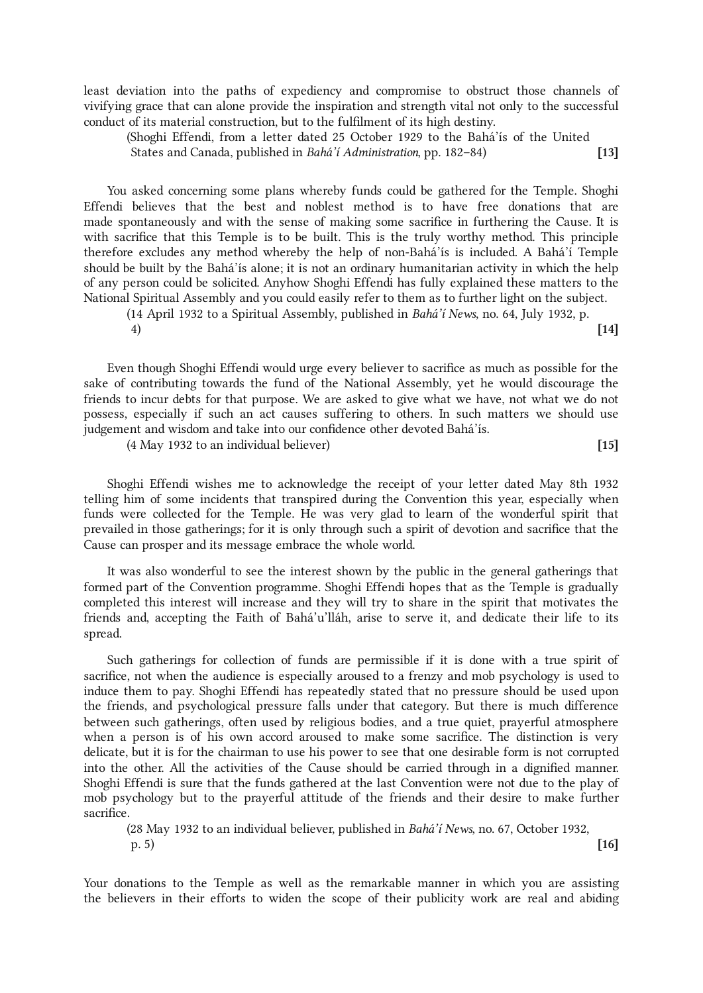least deviation into the paths of expediency and compromise to obstruct those channels of vivifying grace that can alone provide the inspiration and strength vital not only to the successful conduct of its material construction, but to the fulfilment of its high destiny.

(Shoghi Effendi, from a letter dated 25 October 1929 to the Bahá'ís of the United States and Canada, published in Bahá'í Administration, pp. 182–84) [13]

You asked concerning some plans whereby funds could be gathered for the Temple. Shoghi Effendi believes that the best and noblest method is to have free donations that are made spontaneously and with the sense of making some sacrifice in furthering the Cause. It is with sacrifice that this Temple is to be built. This is the truly worthy method. This principle therefore excludes any method whereby the help of non-Bahá'ís is included. A Bahá'í Temple should be built by the Bahá'ís alone; it is not an ordinary humanitarian activity in which the help of any person could be solicited. Anyhow Shoghi Effendi has fully explained these matters to the National Spiritual Assembly and you could easily refer to them as to further light on the subject.

(14 April 1932 to a Spiritual Assembly, published in Bahá'í News, no. 64, July 1932, p.  $^{(14)}$ 

Even though Shoghi Effendi would urge every believer to sacrifice as much as possible for the sake of contributing towards the fund of the National Assembly, yet he would discourage the friends to incur debts for that purpose. We are asked to give what we have, not what we do not possess, especially if such an act causes suffering to others. In such matters we should use judgement and wisdom and take into our confidence other devoted Bahá'ís.

(4 May 1932 to an individual believer) [15]

Shoghi Effendi wishes me to acknowledge the receipt of your letter dated May 8th 1932 telling him of some incidents that transpired during the Convention this year, especially when funds were collected for the Temple. He was very glad to learn of the wonderful spirit that prevailed in those gatherings; for it is only through such a spirit of devotion and sacrifice that the Cause can prosper and its message embrace the whole world.

It was also wonderful to see the interest shown by the public in the general gatherings that formed part of the Convention programme. Shoghi Effendi hopes that as the Temple is gradually completed this interest will increase and they will try to share in the spirit that motivates the friends and, accepting the Faith of Bahá'u'lláh, arise to serve it, and dedicate their life to its spread.

Such gatherings for collection of funds are permissible if it is done with a true spirit of sacrifice, not when the audience is especially aroused to a frenzy and mob psychology is used to induce them to pay. Shoghi Effendi has repeatedly stated that no pressure should be used upon the friends, and psychological pressure falls under that category. But there is much difference between such gatherings, often used by religious bodies, and a true quiet, prayerful atmosphere when a person is of his own accord aroused to make some sacrifice. The distinction is very delicate, but it is for the chairman to use his power to see that one desirable form is not corrupted into the other. All the activities of the Cause should be carried through in a dignified manner. Shoghi Effendi is sure that the funds gathered at the last Convention were not due to the play of mob psychology but to the prayerful attitude of the friends and their desire to make further sacrifice.

(28 May 1932 to an individual believer, published in Bahá'í News, no. 67, October 1932, p. 5) [16]

Your donations to the Temple as well as the remarkable manner in which you are assisting the believers in their efforts to widen the scope of their publicity work are real and abiding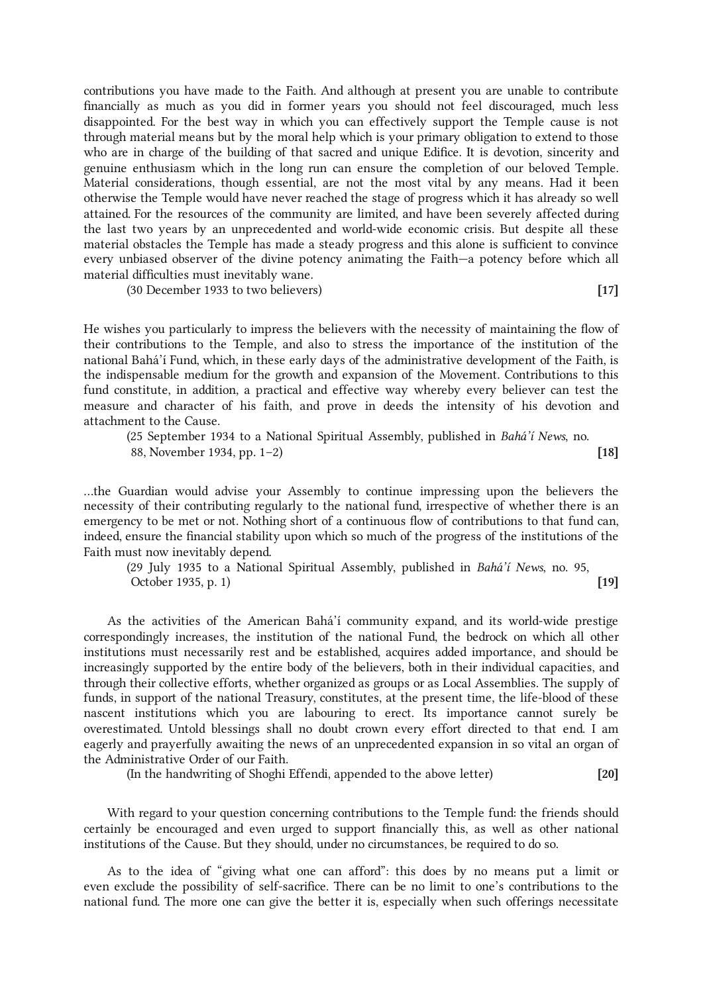contributions you have made to the Faith. And although at present you are unable to contribute financially as much as you did in former years you should not feel discouraged, much less disappointed. For the best way in which you can effectively support the Temple cause is not through material means but by the moral help which is your primary obligation to extend to those who are in charge of the building of that sacred and unique Edifice. It is devotion, sincerity and genuine enthusiasm which in the long run can ensure the completion of our beloved Temple. Material considerations, though essential, are not the most vital by any means. Had it been otherwise the Temple would have never reached the stage of progress which it has already so well attained. For the resources of the community are limited, and have been severely affected during the last two years by an unprecedented and world-wide economic crisis. But despite all these material obstacles the Temple has made a steady progress and this alone is sufficient to convince every unbiased observer of the divine potency animating the Faith—a potency before which all material difficulties must inevitably wane.

(30 December 1933 to two believers) [17]

He wishes you particularly to impress the believers with the necessity of maintaining the flow of their contributions to the Temple, and also to stress the importance of the institution of the national Bahá'í Fund, which, in these early days of the administrative development of the Faith, is the indispensable medium for the growth and expansion of the Movement. Contributions to this fund constitute, in addition, a practical and effective way whereby every believer can test the measure and character of his faith, and prove in deeds the intensity of his devotion and attachment to the Cause.

(25 September 1934 to a National Spiritual Assembly, published in Bahá'í News, no. 88, November 1934, pp. 1–2) [18]

...the Guardian would advise your Assembly to continue impressing upon the believers the necessity of their contributing regularly to the national fund, irrespective of whether there is an emergency to be met or not. Nothing short of a continuous flow of contributions to that fund can, indeed, ensure the financial stability upon which so much of the progress of the institutions of the Faith must now inevitably depend.

(29 July 1935 to a National Spiritual Assembly, published in Bahá'í News, no. 95, October 1935, p. 1) [19]

As the activities of the American Bahá'í community expand, and its world-wide prestige correspondingly increases, the institution of the national Fund, the bedrock on which all other institutions must necessarily rest and be established, acquires added importance, and should be increasingly supported by the entire body of the believers, both in their individual capacities, and through their collective efforts, whether organized as groups or as Local Assemblies. The supply of funds, in support of the national Treasury, constitutes, at the present time, the life-blood of these nascent institutions which you are labouring to erect. Its importance cannot surely be overestimated. Untold blessings shall no doubt crown every effort directed to that end. I am eagerly and prayerfully awaiting the news of an unprecedented expansion in so vital an organ of the Administrative Order of our Faith.

(In the handwriting of Shoghi Effendi, appended to the above letter) [20]

With regard to your question concerning contributions to the Temple fund: the friends should certainly be encouraged and even urged to support financially this, as well as other national institutions of the Cause. But they should, under no circumstances, be required to do so.

As to the idea of "giving what one can afford": this does by no means put a limit or even exclude the possibility of self-sacrifice. There can be no limit to one's contributions to the national fund. The more one can give the better it is, especially when such offerings necessitate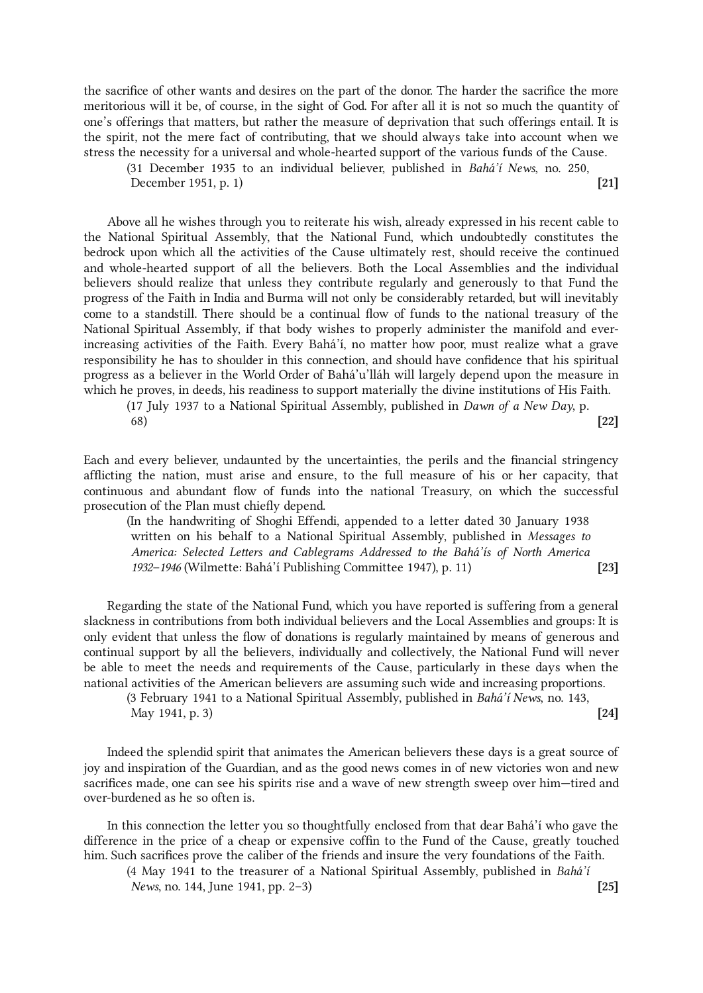the sacrifice of other wants and desires on the part of the donor. The harder the sacrifice the more meritorious will it be, of course, in the sight of God. For after all it is not so much the quantity of one's offerings that matters, but rather the measure of deprivation that such offerings entail. It is the spirit, not the mere fact of contributing, that we should always take into account when we stress the necessity for a universal and whole-hearted support of the various funds of the Cause.

(31 December 1935 to an individual believer, published in Bahá'í News, no. 250, December 1951, p. 1) [21]

Above all he wishes through you to reiterate his wish, already expressed in his recent cable to the National Spiritual Assembly, that the National Fund, which undoubtedly constitutes the bedrock upon which all the activities of the Cause ultimately rest, should receive the continued and whole-hearted support of all the believers. Both the Local Assemblies and the individual believers should realize that unless they contribute regularly and generously to that Fund the progress of the Faith in India and Burma will not only be considerably retarded, but will inevitably come to a standstill. There should be a continual flow of funds to the national treasury of the National Spiritual Assembly, if that body wishes to properly administer the manifold and everincreasing activities of the Faith. Every Bahá'í, no matter how poor, must realize what a grave responsibility he has to shoulder in this connection, and should have confidence that his spiritual progress as a believer in the World Order of Bahá'u'lláh will largely depend upon the measure in which he proves, in deeds, his readiness to support materially the divine institutions of His Faith.

(17 July 1937 to a National Spiritual Assembly, published in Dawn of a New Day, p. 68) (22]

Each and every believer, undaunted by the uncertainties, the perils and the financial stringency afflicting the nation, must arise and ensure, to the full measure of his or her capacity, that continuous and abundant flow of funds into the national Treasury, on which the successful prosecution of the Plan must chiefly depend.

(In the handwriting of Shoghi Effendi, appended to a letter dated 30 January 1938 written on his behalf to a National Spiritual Assembly, published in Messages to America: Selected Letters and Cablegrams Addressed to the Bahá'ís of North America 1932–1946 (Wilmette: Bahá'í Publishing Committee 1947), p. 11) [23]

Regarding the state of the National Fund, which you have reported is suffering from a general slackness in contributions from both individual believers and the Local Assemblies and groups: It is only evident that unless the flow of donations is regularly maintained by means of generous and continual support by all the believers, individually and collectively, the National Fund will never be able to meet the needs and requirements of the Cause, particularly in these days when the national activities of the American believers are assuming such wide and increasing proportions.

(3 February 1941 to a National Spiritual Assembly, published in Bahá'í News, no. 143, May 1941, p. 3) [24]

Indeed the splendid spirit that animates the American believers these days is a great source of joy and inspiration of the Guardian, and as the good news comes in of new victories won and new sacrifices made, one can see his spirits rise and a wave of new strength sweep over him—tired and over-burdened as he so often is.

In this connection the letter you so thoughtfully enclosed from that dear Bahá'í who gave the difference in the price of a cheap or expensive coffin to the Fund of the Cause, greatly touched him. Such sacrifices prove the caliber of the friends and insure the very foundations of the Faith.

(4 May 1941 to the treasurer of a National Spiritual Assembly, published in  $Bahá'i$ News, no. 144, June 1941, pp. 2–3) [25]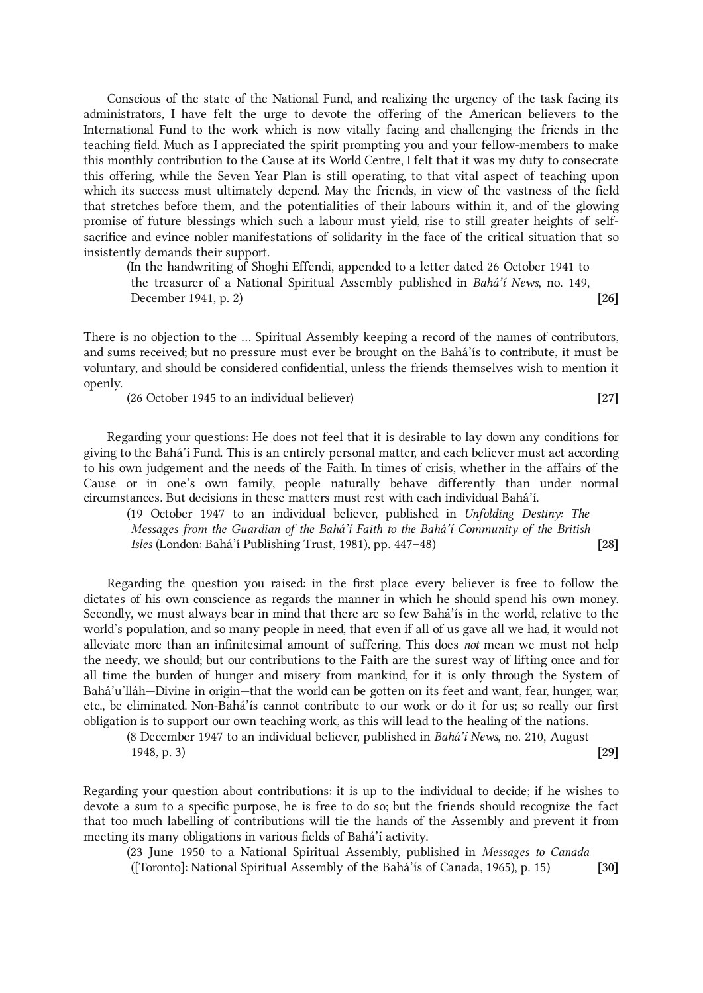Conscious of the state of the National Fund, and realizing the urgency of the task facing its administrators, I have felt the urge to devote the offering of the American believers to the International Fund to the work which is now vitally facing and challenging the friends in the teaching field. Much as I appreciated the spirit prompting you and your fellow-members to make this monthly contribution to the Cause at its World Centre, I felt that it was my duty to consecrate this offering, while the Seven Year Plan is still operating, to that vital aspect of teaching upon which its success must ultimately depend. May the friends, in view of the vastness of the field that stretches before them, and the potentialities of their labours within it, and of the glowing promise of future blessings which such a labour must yield, rise to still greater heights of selfsacrifice and evince nobler manifestations of solidarity in the face of the critical situation that so insistently demands their support.

(In the handwriting of Shoghi Effendi, appended to a letter dated 26 October 1941 to the treasurer of a National Spiritual Assembly published in Bahá'í News, no. 149, December 1941, p. 2) [26]

There is no objection to the ... Spiritual Assembly keeping a record of the names of contributors, and sums received; but no pressure must ever be brought on the Bahá'ís to contribute, it must be voluntary, and should be considered confidential, unless the friends themselves wish to mention it openly.

(26 October 1945 to an individual believer) [27]

Regarding your questions: He does not feel that it is desirable to lay down any conditions for giving to the Bahá'í Fund. This is an entirely personal matter, and each believer must act according to his own judgement and the needs of the Faith. In times of crisis, whether in the affairs of the Cause or in one's own family, people naturally behave differently than under normal circumstances. But decisions in these matters must rest with each individual Bahá'í.

(19 October 1947 to an individual believer, published in Unfolding Destiny: The Messages from the Guardian of the Bahá'í Faith to the Bahá'í Community of the British Isles (London: Bahá'í Publishing Trust, 1981), pp. 447–48) [28]

Regarding the question you raised: in the first place every believer is free to follow the dictates of his own conscience as regards the manner in which he should spend his own money. Secondly, we must always bear in mind that there are so few Bahá'ís in the world, relative to the world's population, and so many people in need, that even if all of us gave all we had, it would not alleviate more than an infinitesimal amount of suffering. This does not mean we must not help the needy, we should; but our contributions to the Faith are the surest way of lifting once and for all time the burden of hunger and misery from mankind, for it is only through the System of Bahá'u'lláh—Divine in origin—that the world can be gotten on its feet and want, fear, hunger, war, etc., be eliminated. Non-Bahá'ís cannot contribute to our work or do it for us; so really our first obligation is to support our own teaching work, as this will lead to the healing of the nations.

(8 December 1947 to an individual believer, published in Bahá'í News, no. 210, August 1948, p. 3) [29]

Regarding your question about contributions: it is up to the individual to decide; if he wishes to devote a sum to a specific purpose, he is free to do so; but the friends should recognize the fact that too much labelling of contributions will tie the hands of the Assembly and prevent it from meeting its many obligations in various fields of Bahá'í activity.

(23 June 1950 to a National Spiritual Assembly, published in Messages to Canada

([Toronto]: National Spiritual Assembly of the Bahá'ís of Canada, 1965), p. 15) [30]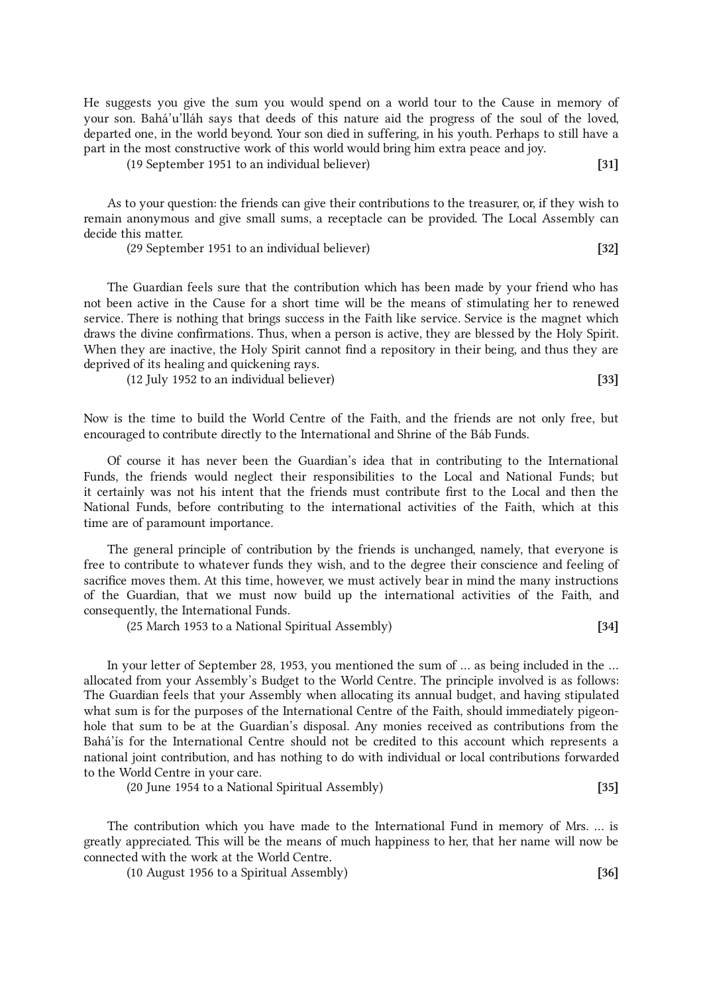He suggests you give the sum you would spend on a world tour to the Cause in memory of your son. Bahá'u'lláh says that deeds of this nature aid the progress of the soul of the loved, departed one, in the world beyond. Your son died in suffering, in his youth. Perhaps to still have a part in the most constructive work of this world would bring him extra peace and joy.

(19 September 1951 to an individual believer) [31]

As to your question: the friends can give their contributions to the treasurer, or, if they wish to remain anonymous and give small sums, a receptacle can be provided. The Local Assembly can decide this matter.

(29 September 1951 to an individual believer) [32]

The Guardian feels sure that the contribution which has been made by your friend who has not been active in the Cause for a short time will be the means of stimulating her to renewed service. There is nothing that brings success in the Faith like service. Service is the magnet which draws the divine confirmations. Thus, when a person is active, they are blessed by the Holy Spirit. When they are inactive, the Holy Spirit cannot find a repository in their being, and thus they are deprived of its healing and quickening rays.

(12 July 1952 to an individual believer) [33]

Now is the time to build the World Centre of the Faith, and the friends are not only free, but encouraged to contribute directly to the International and Shrine of the Báb Funds.

Of course it has never been the Guardian's idea that in contributing to the International Funds, the friends would neglect their responsibilities to the Local and National Funds; but it certainly was not his intent that the friends must contribute first to the Local and then the National Funds, before contributing to the international activities of the Faith, which at this time are of paramount importance.

The general principle of contribution by the friends is unchanged, namely, that everyone is free to contribute to whatever funds they wish, and to the degree their conscience and feeling of sacrifice moves them. At this time, however, we must actively bear in mind the many instructions of the Guardian, that we must now build up the international activities of the Faith, and consequently, the International Funds.

(25 March 1953 to a National Spiritual Assembly) [34]

In your letter of September 28, 1953, you mentioned the sum of ... as being included in the ... allocated from your Assembly's Budget to the World Centre. The principle involved is as follows: The Guardian feels that your Assembly when allocating its annual budget, and having stipulated what sum is for the purposes of the International Centre of the Faith, should immediately pigeonhole that sum to be at the Guardian's disposal. Any monies received as contributions from the Bahá'ís for the International Centre should not be credited to this account which represents a national joint contribution, and has nothing to do with individual or local contributions forwarded to the World Centre in your care.

(20 June 1954 to a National Spiritual Assembly) [35]

The contribution which you have made to the International Fund in memory of Mrs. ... is greatly appreciated. This will be the means of much happiness to her, that her name will now be connected with the work at the World Centre.

(10 August 1956 to a Spiritual Assembly) [36]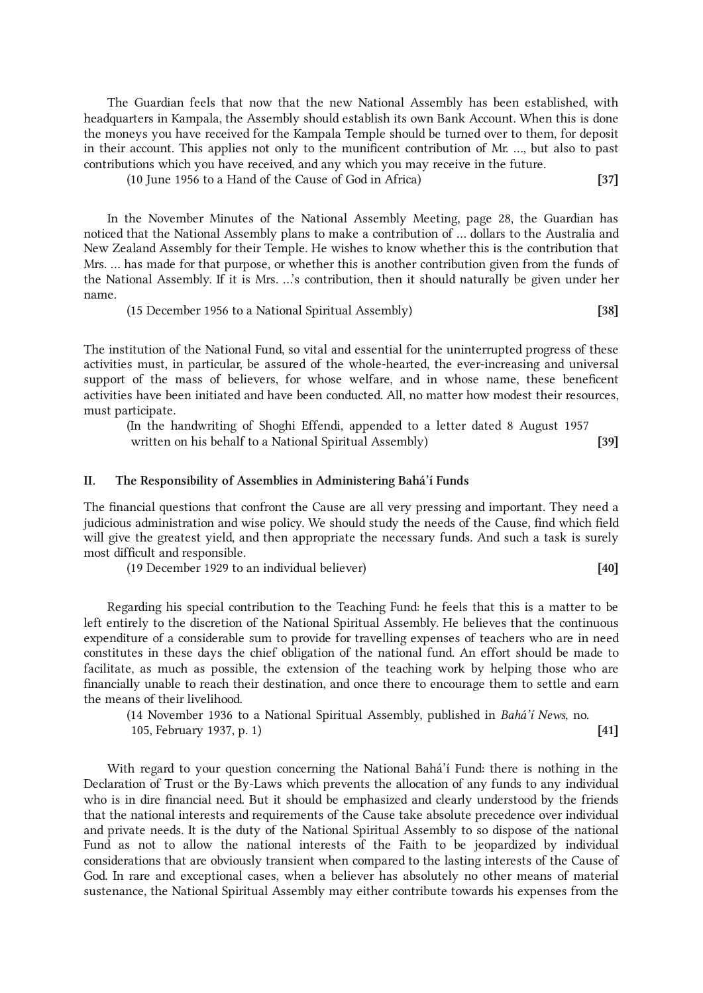The Guardian feels that now that the new National Assembly has been established, with headquarters in Kampala, the Assembly should establish its own Bank Account. When this is done the moneys you have received for the Kampala Temple should be turned over to them, for deposit in their account. This applies not only to the munificent contribution of Mr. ..., but also to past contributions which you have received, and any which you may receive in the future.

(10 June 1956 to a Hand of the Cause of God in Africa) [37]

In the November Minutes of the National Assembly Meeting, page 28, the Guardian has noticed that the National Assembly plans to make a contribution of ... dollars to the Australia and New Zealand Assembly for their Temple. He wishes to know whether this is the contribution that Mrs. ... has made for that purpose, or whether this is another contribution given from the funds of the National Assembly. If it is Mrs. ...'s contribution, then it should naturally be given under her name.

(15 December 1956 to a National Spiritual Assembly) [38]

The institution of the National Fund, so vital and essential for the uninterrupted progress of these activities must, in particular, be assured of the whole-hearted, the ever-increasing and universal support of the mass of believers, for whose welfare, and in whose name, these beneficent activities have been initiated and have been conducted. All, no matter how modest their resources, must participate.

(In the handwriting of Shoghi Effendi, appended to a letter dated 8 August 1957 written on his behalf to a National Spiritual Assembly) [39]

## II. The Responsibility of Assemblies in Administering Bahá'í Funds

The financial questions that confront the Cause are all very pressing and important. They need a judicious administration and wise policy. We should study the needs of the Cause, find which field will give the greatest yield, and then appropriate the necessary funds. And such a task is surely most difficult and responsible.

(19 December 1929 to an individual believer) [40]

Regarding his special contribution to the Teaching Fund: he feels that this is a matter to be left entirely to the discretion of the National Spiritual Assembly. He believes that the continuous expenditure of a considerable sum to provide for travelling expenses of teachers who are in need constitutes in these days the chief obligation of the national fund. An effort should be made to facilitate, as much as possible, the extension of the teaching work by helping those who are financially unable to reach their destination, and once there to encourage them to settle and earn the means of their livelihood.

(14 November 1936 to a National Spiritual Assembly, published in Bahá'í News, no. 105, February 1937, p. 1) [41]

With regard to your question concerning the National Bahá'í Fund: there is nothing in the Declaration of Trust or the By-Laws which prevents the allocation of any funds to any individual who is in dire financial need. But it should be emphasized and clearly understood by the friends that the national interests and requirements of the Cause take absolute precedence over individual and private needs. It is the duty of the National Spiritual Assembly to so dispose of the national Fund as not to allow the national interests of the Faith to be jeopardized by individual considerations that are obviously transient when compared to the lasting interests of the Cause of God. In rare and exceptional cases, when a believer has absolutely no other means of material sustenance, the National Spiritual Assembly may either contribute towards his expenses from the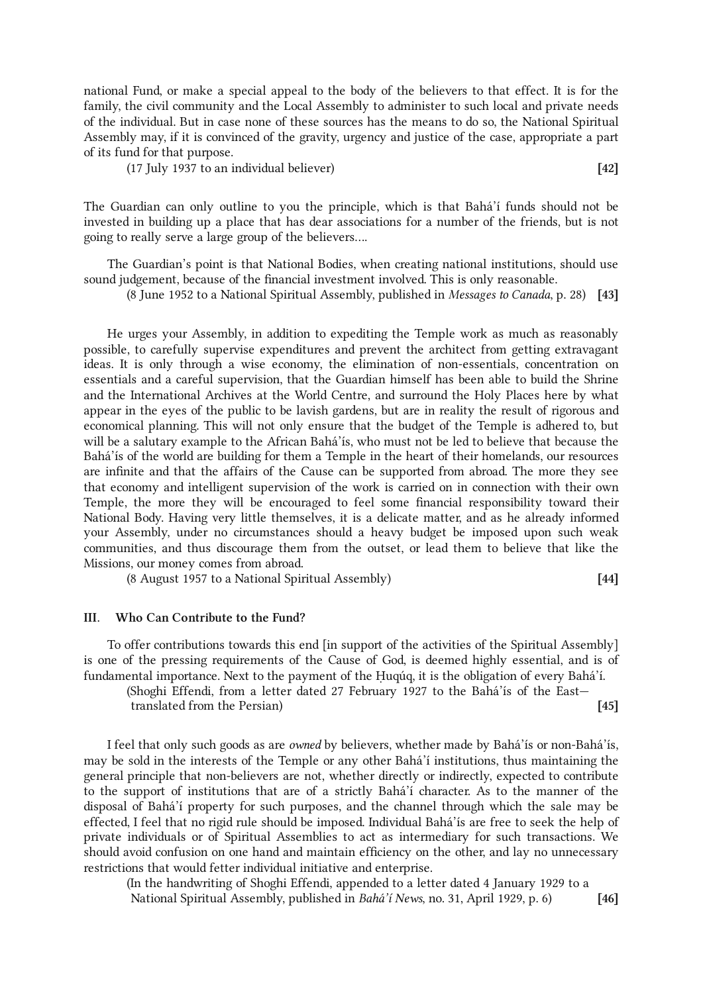national Fund, or make a special appeal to the body of the believers to that effect. It is for the family, the civil community and the Local Assembly to administer to such local and private needs of the individual. But in case none of these sources has the means to do so, the National Spiritual Assembly may, if it is convinced of the gravity, urgency and justice of the case, appropriate a part of its fund for that purpose.

(17 July 1937 to an individual believer) [42]

The Guardian can only outline to you the principle, which is that Bahá'í funds should not be invested in building up a place that has dear associations for a number of the friends, but is not going to really serve a large group of the believers....

The Guardian's point is that National Bodies, when creating national institutions, should use sound judgement, because of the financial investment involved. This is only reasonable.

(8 June 1952 to a National Spiritual Assembly, published in Messages to Canada, p. 28) [43]

He urges your Assembly, in addition to expediting the Temple work as much as reasonably possible, to carefully supervise expenditures and prevent the architect from getting extravagant ideas. It is only through a wise economy, the elimination of non-essentials, concentration on essentials and a careful supervision, that the Guardian himself has been able to build the Shrine and the International Archives at the World Centre, and surround the Holy Places here by what appear in the eyes of the public to be lavish gardens, but are in reality the result of rigorous and economical planning. This will not only ensure that the budget of the Temple is adhered to, but will be a salutary example to the African Bahá'ís, who must not be led to believe that because the Bahá'ís of the world are building for them a Temple in the heart of their homelands, our resources are infinite and that the affairs of the Cause can be supported from abroad. The more they see that economy and intelligent supervision of the work is carried on in connection with their own Temple, the more they will be encouraged to feel some financial responsibility toward their National Body. Having very little themselves, it is a delicate matter, and as he already informed your Assembly, under no circumstances should a heavy budget be imposed upon such weak communities, and thus discourage them from the outset, or lead them to believe that like the Missions, our money comes from abroad.

(8 August 1957 to a National Spiritual Assembly) [44]

## III. Who Can Contribute to the Fund?

To offer contributions towards this end [in support of the activities of the Spiritual Assembly] is one of the pressing requirements of the Cause of God, is deemed highly essential, and is of fundamental importance. Next to the payment of the Ḥuqúq, it is the obligation of every Bahá'í.

(Shoghi Effendi, from a letter dated 27 February 1927 to the Bahá'ís of the East translated from the Persian) [45]

I feel that only such goods as are owned by believers, whether made by Bahá'ís or non-Bahá'ís, may be sold in the interests of the Temple or any other Bahá'í institutions, thus maintaining the general principle that non-believers are not, whether directly or indirectly, expected to contribute to the support of institutions that are of a strictly Bahá'í character. As to the manner of the disposal of Bahá'í property for such purposes, and the channel through which the sale may be effected, I feel that no rigid rule should be imposed. Individual Bahá'ís are free to seek the help of private individuals or of Spiritual Assemblies to act as intermediary for such transactions. We should avoid confusion on one hand and maintain efficiency on the other, and lay no unnecessary restrictions that would fetter individual initiative and enterprise.

(In the handwriting of Shoghi Effendi, appended to a letter dated 4 January 1929 to a National Spiritual Assembly, published in Bahá'í News, no. 31, April 1929, p. 6) [46]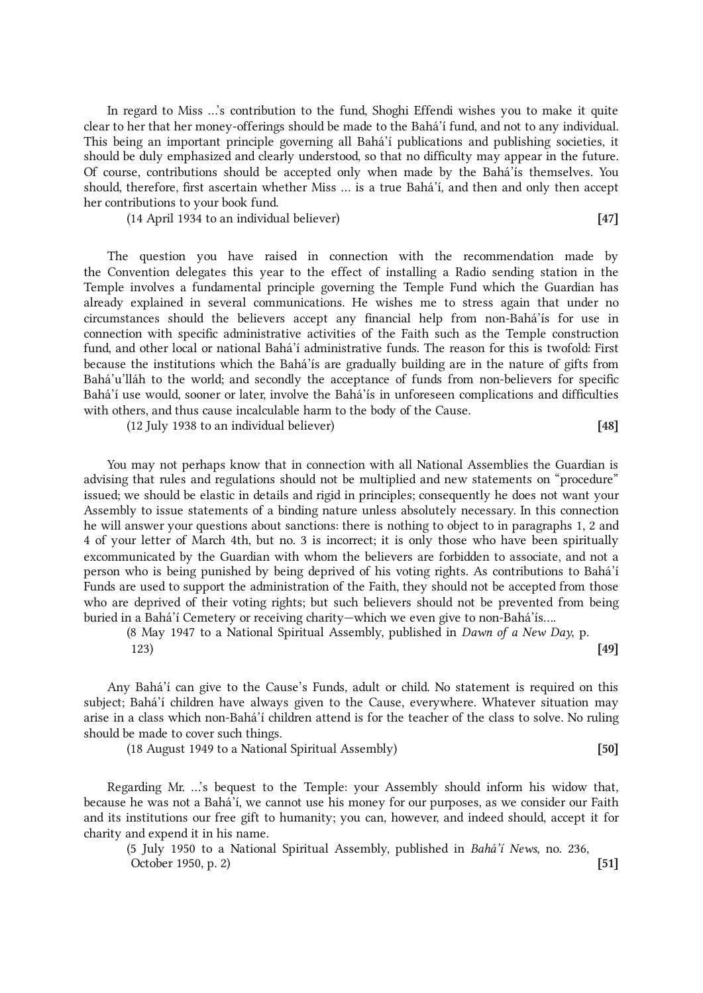In regard to Miss ...'s contribution to the fund, Shoghi Effendi wishes you to make it quite clear to her that her money-offerings should be made to the Bahá'í fund, and not to any individual. This being an important principle governing all Bahá'í publications and publishing societies, it should be duly emphasized and clearly understood, so that no difficulty may appear in the future. Of course, contributions should be accepted only when made by the Bahá'ís themselves. You should, therefore, first ascertain whether Miss ... is a true Bahá'í, and then and only then accept her contributions to your book fund.

(14 April 1934 to an individual believer) [47]

The question you have raised in connection with the recommendation made by the Convention delegates this year to the effect of installing a Radio sending station in the Temple involves a fundamental principle governing the Temple Fund which the Guardian has already explained in several communications. He wishes me to stress again that under no circumstances should the believers accept any financial help from non-Bahá'ís for use in connection with specific administrative activities of the Faith such as the Temple construction fund, and other local or national Bahá'í administrative funds. The reason for this is twofold: First because the institutions which the Bahá'ís are gradually building are in the nature of gifts from Bahá'u'lláh to the world; and secondly the acceptance of funds from non-believers for specific Bahá'í use would, sooner or later, involve the Bahá'ís in unforeseen complications and difficulties with others, and thus cause incalculable harm to the body of the Cause.

(12 July 1938 to an individual believer) [48]

You may not perhaps know that in connection with all National Assemblies the Guardian is advising that rules and regulations should not be multiplied and new statements on "procedure" issued; we should be elastic in details and rigid in principles; consequently he does not want your Assembly to issue statements of a binding nature unless absolutely necessary. In this connection he will answer your questions about sanctions: there is nothing to object to in paragraphs 1, 2 and 4 of your letter of March 4th, but no. 3 is incorrect; it is only those who have been spiritually excommunicated by the Guardian with whom the believers are forbidden to associate, and not a person who is being punished by being deprived of his voting rights. As contributions to Bahá'í Funds are used to support the administration of the Faith, they should not be accepted from those who are deprived of their voting rights; but such believers should not be prevented from being buried in a Bahá'í Cemetery or receiving charity—which we even give to non-Bahá'ís....

(8 May 1947 to a National Spiritual Assembly, published in Dawn of a New Day, p.  $(49)$ 

Any Bahá'í can give to the Cause's Funds, adult or child. No statement is required on this subject; Bahá'í children have always given to the Cause, everywhere. Whatever situation may arise in a class which non-Bahá'í children attend is for the teacher of the class to solve. No ruling should be made to cover such things.

(18 August 1949 to a National Spiritual Assembly) [50]

Regarding Mr. ...'s bequest to the Temple: your Assembly should inform his widow that, because he was not a Bahá'í, we cannot use his money for our purposes, as we consider our Faith and its institutions our free gift to humanity; you can, however, and indeed should, accept it for charity and expend it in his name.

(5 July 1950 to a National Spiritual Assembly, published in Bahá'í News, no. 236, October 1950, p. 2) [51]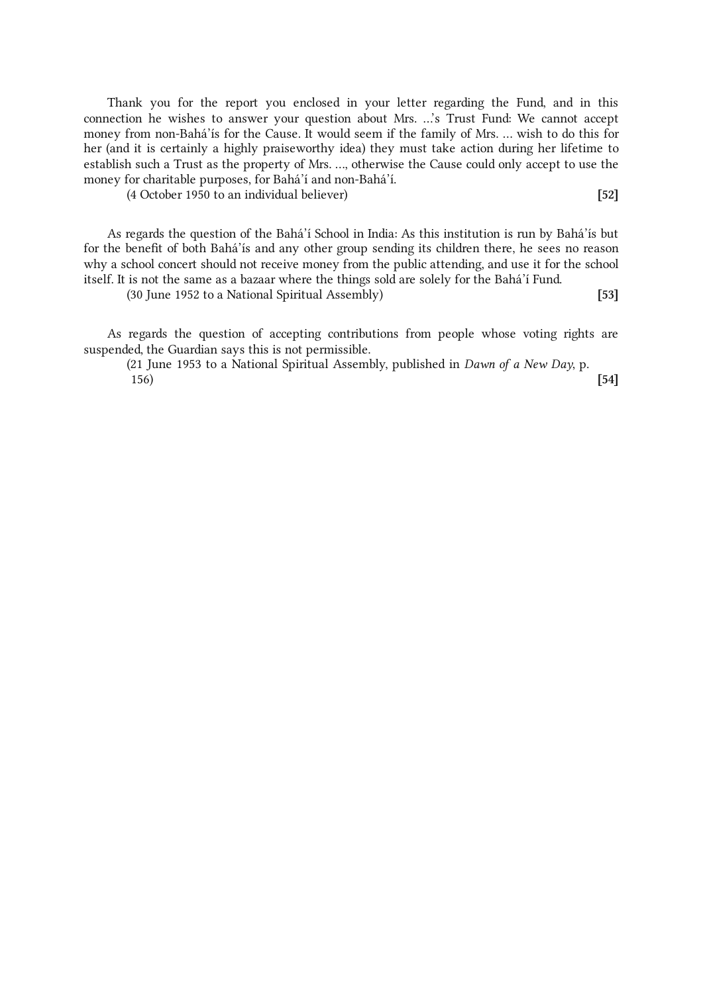Thank you for the report you enclosed in your letter regarding the Fund, and in this connection he wishes to answer your question about Mrs. ...'s Trust Fund: We cannot accept money from non-Bahá'ís for the Cause. It would seem if the family of Mrs. ... wish to do this for her (and it is certainly a highly praiseworthy idea) they must take action during her lifetime to establish such a Trust as the property of Mrs. ..., otherwise the Cause could only accept to use the money for charitable purposes, for Bahá'í and non-Bahá'í.

(4 October 1950 to an individual believer) [52]

As regards the question of the Bahá'í School in India: As this institution is run by Bahá'ís but for the benefit of both Bahá'ís and any other group sending its children there, he sees no reason why a school concert should not receive money from the public attending, and use it for the school itself. It is not the same as a bazaar where the things sold are solely for the Bahá'í Fund.

(30 June 1952 to a National Spiritual Assembly) [53]

As regards the question of accepting contributions from people whose voting rights are suspended, the Guardian says this is not permissible.

(21 June 1953 to a National Spiritual Assembly, published in Dawn of a New Day, p.  $156)$  [54]